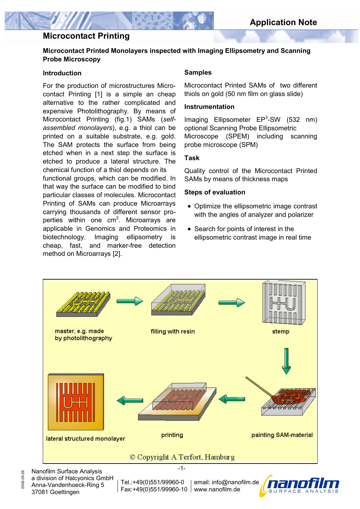# **Microcontact Printing**

### **Microcontact Printed Monolayers inspected with Imaging Ellipsometry and Scanning Probe Microscopy**

### **Introduction**

For the production of microstructures Microcontact Printing [1] is a simple an cheap alternative to the rather complicated and expensive Photolithography. By means of Microcontact Printing (fig.1) SAMs (*selfassembled monolayers*), e.g. a thiol can be printed on a suitable substrate, e.g. gold. The SAM protects the surface from being etched when in a next step the surface is etched to produce a lateral structure. The chemical function of a thiol depends on its

functional groups, which can be modified. In that way the surface can be modified to bind particular classes of molecules. Microcontact Printing of SAMs can produce Microarrays carrying thousands of different sensor properties within one cm<sup>2</sup>. Microarrays are applicable in Genomics and Proteomics in biotechnology. Imaging ellipsometry is cheap, fast, and marker-free detection method on Microarrays [2].

### **Samples**

Microcontact Printed SAMs of two different thiols on gold (50 nm film on glass slide)

### **Instrumentation**

Imaging Ellipsometer  $EP<sup>3</sup>-SW$  (532 nm) optional Scanning Probe Ellipsometric Microscope (SPEM) including scanning probe microscope (SPM)

#### **Task**

Quality control of the Microcontact Printed SAMs by means of thickness maps

#### **Steps of evaluation**

- Optimize the ellipsometric image contrast with the angles of analyzer and polarizer
- Search for points of interest in the ellipsometric contrast image in real time



Nanofilm Surface Analysis 2008-05-26 a division of Halcyonics GmbH Anna-Vandenhoeck-Ring 5 37081 Goettingen

2008-05-26

Tel.:+49(0)551/99960-0 Fax:+49(0)551/99960-10 www.nanofilm.de

email: info@nanofilm.de

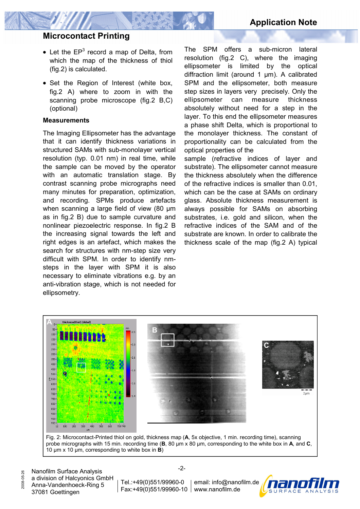# **Microcontact Printing**

- $\bullet$  Let the EP<sup>3</sup> record a map of Delta, from which the map of the thickness of thiol (fig.2) is calculated.
- Set the Region of Interest (white box, fig.2 A) where to zoom in with the scanning probe microscope (fig.2 B,C) (optional)

### **Measurements**

The Imaging Ellipsometer has the advantage that it can identify thickness variations in structured SAMs with sub-monolayer vertical resolution (typ. 0.01 nm) in real time, while the sample can be moved by the operator with an automatic translation stage. By contrast scanning probe micrographs need many minutes for preparation, optimization, and recording. SPMs produce artefacts when scanning a large field of view (80 µm as in fig.2 B) due to sample curvature and nonlinear piezoelectric response. In fig.2 B the increasing signal towards the left and right edges is an artefact, which makes the search for structures with nm-step size very difficult with SPM. In order to identify nmsteps in the layer with SPM it is also necessary to eliminate vibrations e.g. by an anti-vibration stage, which is not needed for ellipsometry.

The SPM offers a sub-micron lateral resolution (fig.2 C), where the imaging ellipsometer is limited by the optical diffraction limit (around 1 µm). A calibrated SPM and the ellipsometer, both measure step sizes in layers very precisely. Only the ellipsometer can measure thickness absolutely without need for a step in the layer. To this end the ellipsometer measures a phase shift Delta, which is proportional to the monolayer thickness. The constant of proportionality can be calculated from the optical properties of the

sample (refractive indices of layer and substrate). The ellipsometer cannot measure the thickness absolutely when the difference of the refractive indices is smaller than 0.01, which can be the case at SAMs on ordinary glass. Absolute thickness measurement is always possible for SAMs on absorbing substrates, i.e. gold and silicon, when the refractive indices of the SAM and of the substrate are known. In order to calibrate the thickness scale of the map (fig.2 A) typical



Fig. 2: Microcontact-Printed thiol on gold, thickness map (**A**, 5x objective, 1 min. recording time), scanning probe micrographs with 15 min. recording time (**B**, 80 µm x 80 µm, corresponding to the white box in **A**, and **C**, 10 µm x 10 µm, corresponding to white box in **B**)

2008-05-26

2008-05-26

Tel.:+49(0)551/99960-0 Fax:+49(0)551/99960-10 www.nanofilm.de email: info@nanofilm.de